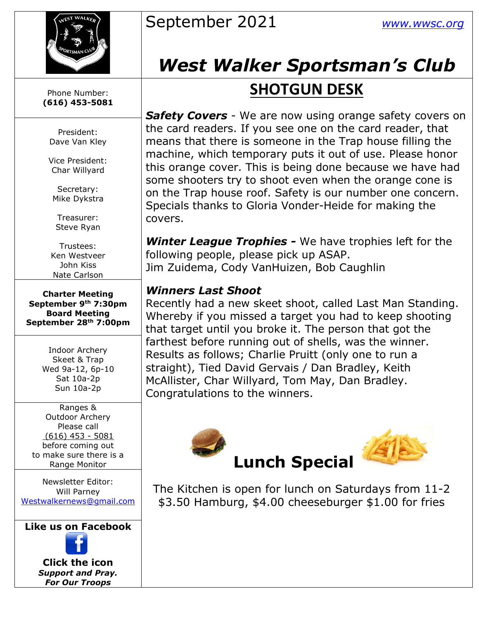

Phone Number: **(616) 453-5081**

President: Dave Van Kley

Vice President: Char Willyard

Secretary: Mike Dykstra

Treasurer: Steve Ryan

Trustees: Ken Westveer John Kiss Nate Carlson

**Charter Meeting September 9th 7:30pm Board Meeting September 28th 7:00pm**

> Indoor Archery Skeet & Trap Wed 9a-12, 6p-10 Sat 10a-2p Sun 10a-2p

Ranges & Outdoor Archery Please call (616) 453 - 5081 before coming out to make sure there is a Range Monitor

Newsletter Editor: Will Parney [Westwalkernews@gmail.com](mailto:Westwalkernews@gmail.com)

**Like us on Facebook**



**Click [the](http://commons.wikimedia.org/wiki/file:facebook_shiny_icon.svg) icon** *Suppo[rt an](http://commons.wikimedia.org/wiki/file:facebook_shiny_icon.svg)d Pray. For O[ur](http://commons.wikimedia.org/wiki/file:facebook_shiny_icon.svg) Troops*

## September 2021 *[www.wwsc.org](http://www.wwsc.org/)*

# *West Walker Sportsman's Club*

### **SHOTGUN DESK**

*Safety Covers* - We are now using orange safety covers on the card readers. If you see one on the card reader, that means that there is someone in the Trap house filling the machine, which temporary puts it out of use. Please honor this orange cover. This is being done because we have had some shooters try to shoot even when the orange cone is on the Trap house roof. Safety is our number one concern. Specials thanks to Gloria Vonder-Heide for making the covers.

*Winter League Trophies -* We have trophies left for the following people, please pick up ASAP. Jim Zuidema, Cody VanHuizen, Bob Caughlin

#### *Winners Last Shoot*

Recently had a new skeet shoot, called Last Man Standing. Whereby if you missed a target you had to keep shooting that target until you broke it. The person that got the farthest before running out of shells, was the winner. Results as follows; Charlie Pruitt (only one to run a straight), Tied David Gervais / Dan Bradley, Keith McAllister, Char Willyard, Tom May, Dan Bradley. Congratulations to the winners.



The Kitchen is open for lunch on Saturdays from 11-2 \$3.50 Ha[mbu](https://creativecommons.org/licenses/by-sa/3.0/)rg, \$4.00 cheeseburger \$1.00 for fries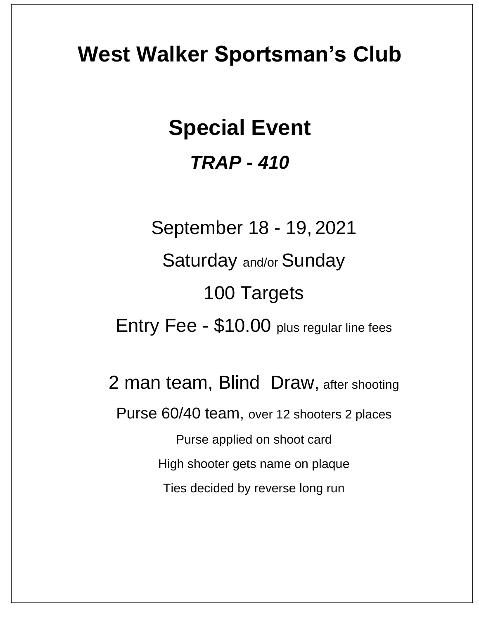## **West Walker Sportsman's Club**

# **Special Event** *TRAP - 410*

September 18 - 19, 2021 Saturday and/or Sunday 100 Targets Entry Fee - \$10.00 plus regular line fees

2 man team, Blind Draw, after shooting Purse 60/40 team, over 12 shooters 2 places Purse applied on shoot card High shooter gets name on plaque Ties decided by reverse long run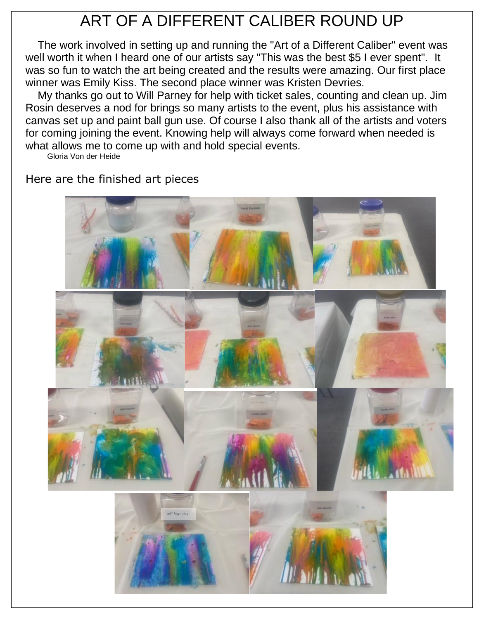## ART OF A DIFFERENT CALIBER ROUND UP

The work involved in setting up and running the "Art of a Different Caliber" event was well worth it when I heard one of our artists say "This was the best \$5 I ever spent". It was so fun to watch the art being created and the results were amazing. Our first place winner was Emily Kiss. The second place winner was Kristen Devries.

My thanks go out to Will Parney for help with ticket sales, counting and clean up. Jim Rosin deserves a nod for brings so many artists to the event, plus his assistance with canvas set up and paint ball gun use. Of course I also thank all of the artists and voters for coming joining the event. Knowing help will always come forward when needed is what allows me to come up with and hold special events.

Gloria Von der Heide

Here are the finished art pieces

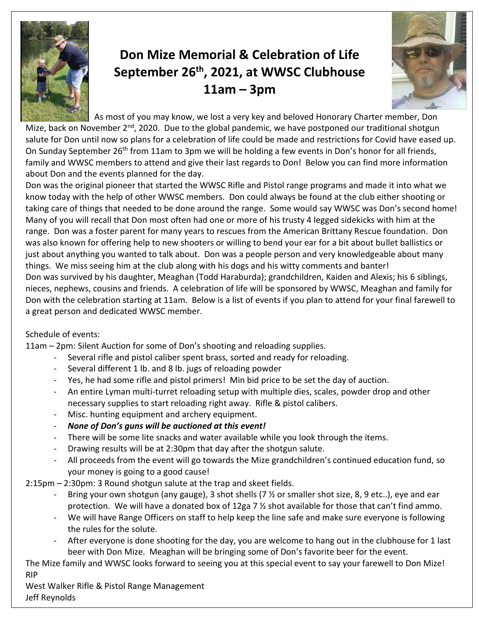

### **Don Mize Memorial & Celebration of Life September 26th, 2021, at WWSC Clubhouse 11am – 3pm**



As most of you may know, we lost a very key and beloved Honorary Charter member, Don Mize, back on November  $2^{nd}$ , 2020. Due to the global pandemic, we have postponed our traditional shotgun salute for Don until now so plans for a celebration of life could be made and restrictions for Covid have eased up. On Sunday September 26<sup>th</sup> from 11am to 3pm we will be holding a few events in Don's honor for all friends, family and WWSC members to attend and give their last regards to Don! Below you can find more information about Don and the events planned for the day.

Don was the original pioneer that started the WWSC Rifle and Pistol range programs and made it into what we know today with the help of other WWSC members. Don could always be found at the club either shooting or taking care of things that needed to be done around the range. Some would say WWSC was Don's second home! Many of you will recall that Don most often had one or more of his trusty 4 legged sidekicks with him at the range. Don was a foster parent for many years to rescues from the American Brittany Rescue foundation. Don was also known for offering help to new shooters or willing to bend your ear for a bit about bullet ballistics or just about anything you wanted to talk about. Don was a people person and very knowledgeable about many things. We miss seeing him at the club along with his dogs and his witty comments and banter! Don was survived by his daughter, Meaghan (Todd Haraburda); grandchildren, Kaiden and Alexis; his 6 siblings, nieces, nephews, cousins and friends. A celebration of life will be sponsored by WWSC, Meaghan and family for Don with the celebration starting at 11am. Below is a list of events if you plan to attend for your final farewell to a great person and dedicated WWSC member.

#### Schedule of events:

11am – 2pm: Silent Auction for some of Don's shooting and reloading supplies.

- Several rifle and pistol caliber spent brass, sorted and ready for reloading.
- Several different 1 lb. and 8 lb. jugs of reloading powder
- Yes, he had some rifle and pistol primers! Min bid price to be set the day of auction.
- An entire Lyman multi-turret reloading setup with multiple dies, scales, powder drop and other necessary supplies to start reloading right away. Rifle & pistol calibers.
- Misc. hunting equipment and archery equipment.
- *None of Don's guns will be auctioned at this event!*
- There will be some lite snacks and water available while you look through the items.
- Drawing results will be at 2:30pm that day after the shotgun salute.
- All proceeds from the event will go towards the Mize grandchildren's continued education fund, so your money is going to a good cause!
- 2:15pm 2:30pm: 3 Round shotgun salute at the trap and skeet fields.
	- Bring your own shotgun (any gauge), 3 shot shells (7 % or smaller shot size, 8, 9 etc..), eye and ear protection. We will have a donated box of 12ga 7 ½ shot available for those that can't find ammo.
	- We will have Range Officers on staff to help keep the line safe and make sure everyone is following the rules for the solute.
	- After everyone is done shooting for the day, you are welcome to hang out in the clubhouse for 1 last beer with Don Mize. Meaghan will be bringing some of Don's favorite beer for the event.

The Mize family and WWSC looks forward to seeing you at this special event to say your farewell to Don Mize! RIP

West Walker Rifle & Pistol Range Management Jeff Reynolds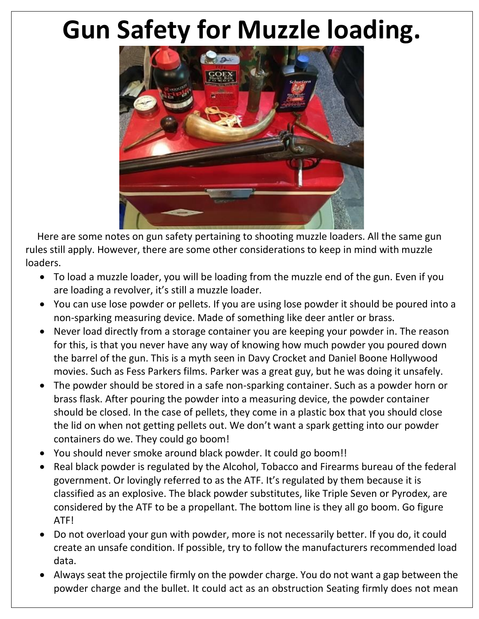# **Gun Safety for Muzzle loading.**



 Here are some notes on gun safety pertaining to shooting muzzle loaders. All the same gun rules still apply. However, there are some other considerations to keep in mind with muzzle loaders.

- To load a muzzle loader, you will be loading from the muzzle end of the gun. Even if you are loading a revolver, it's still a muzzle loader.
- You can use lose powder or pellets. If you are using lose powder it should be poured into a non-sparking measuring device. Made of something like deer antler or brass.
- Never load directly from a storage container you are keeping your powder in. The reason for this, is that you never have any way of knowing how much powder you poured down the barrel of the gun. This is a myth seen in Davy Crocket and Daniel Boone Hollywood movies. Such as Fess Parkers films. Parker was a great guy, but he was doing it unsafely.
- The powder should be stored in a safe non-sparking container. Such as a powder horn or brass flask. After pouring the powder into a measuring device, the powder container should be closed. In the case of pellets, they come in a plastic box that you should close the lid on when not getting pellets out. We don't want a spark getting into our powder containers do we. They could go boom!
- You should never smoke around black powder. It could go boom!!
- Real black powder is regulated by the Alcohol, Tobacco and Firearms bureau of the federal government. Or lovingly referred to as the ATF. It's regulated by them because it is classified as an explosive. The black powder substitutes, like Triple Seven or Pyrodex, are considered by the ATF to be a propellant. The bottom line is they all go boom. Go figure ATF!
- Do not overload your gun with powder, more is not necessarily better. If you do, it could create an unsafe condition. If possible, try to follow the manufacturers recommended load data.
- Always seat the projectile firmly on the powder charge. You do not want a gap between the powder charge and the bullet. It could act as an obstruction Seating firmly does not mean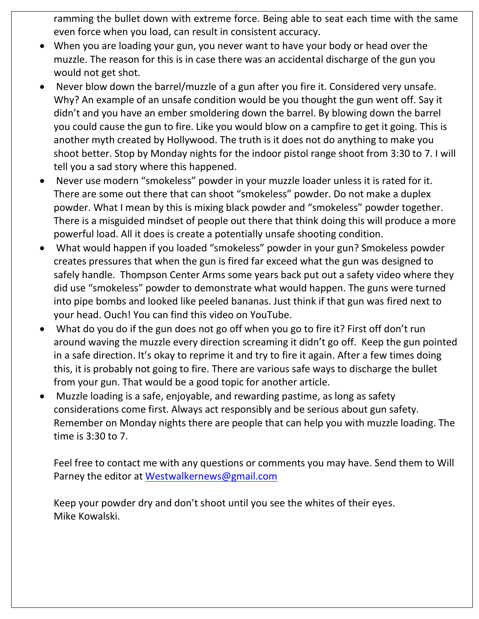ramming the bullet down with extreme force. Being able to seat each time with the same even force when you load, can result in consistent accuracy.

- When you are loading your gun, you never want to have your body or head over the muzzle. The reason for this is in case there was an accidental discharge of the gun you would not get shot.
- Never blow down the barrel/muzzle of a gun after you fire it. Considered very unsafe. Why? An example of an unsafe condition would be you thought the gun went off. Say it didn't and you have an ember smoldering down the barrel. By blowing down the barrel you could cause the gun to fire. Like you would blow on a campfire to get it going. This is another myth created by Hollywood. The truth is it does not do anything to make you shoot better. Stop by Monday nights for the indoor pistol range shoot from 3:30 to 7. I will tell you a sad story where this happened.
- Never use modern "smokeless" powder in your muzzle loader unless it is rated for it. There are some out there that can shoot "smokeless" powder. Do not make a duplex powder. What I mean by this is mixing black powder and "smokeless" powder together. There is a misguided mindset of people out there that think doing this will produce a more powerful load. All it does is create a potentially unsafe shooting condition.
- What would happen if you loaded "smokeless" powder in your gun? Smokeless powder creates pressures that when the gun is fired far exceed what the gun was designed to safely handle. Thompson Center Arms some years back put out a safety video where they did use "smokeless" powder to demonstrate what would happen. The guns were turned into pipe bombs and looked like peeled bananas. Just think if that gun was fired next to your head. Ouch! You can find this video on YouTube.
- What do you do if the gun does not go off when you go to fire it? First off don't run around waving the muzzle every direction screaming it didn't go off. Keep the gun pointed in a safe direction. It's okay to reprime it and try to fire it again. After a few times doing this, it is probably not going to fire. There are various safe ways to discharge the bullet from your gun. That would be a good topic for another article.
- Muzzle loading is a safe, enjoyable, and rewarding pastime, as long as safety considerations come first. Always act responsibly and be serious about gun safety. Remember on Monday nights there are people that can help you with muzzle loading. The time is 3:30 to 7.

Feel free to contact me with any questions or comments you may have. Send them to Will Parney the editor at [Westwalkernews@gmail.com](mailto:Westwalkernews@gmail.com)

Keep your powder dry and don't shoot until you see the whites of their eyes. Mike Kowalski.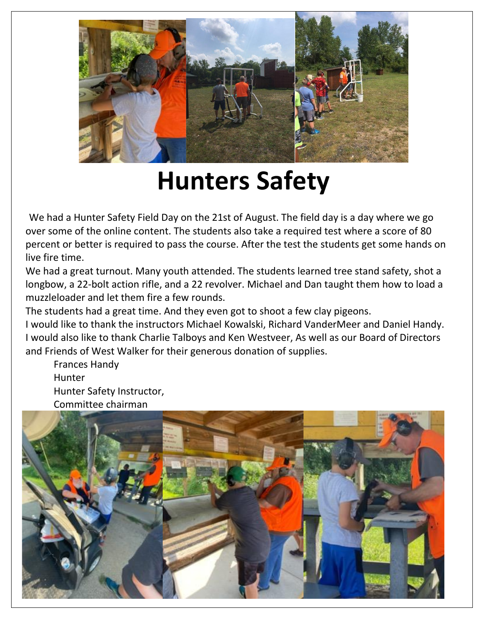

# **Hunters Safety**

We had a Hunter Safety Field Day on the 21st of August. The field day is a day where we go over some of the online content. The students also take a required test where a score of 80 percent or better is required to pass the course. After the test the students get some hands on live fire time.

We had a great turnout. Many youth attended. The students learned tree stand safety, shot a longbow, a 22-bolt action rifle, and a 22 revolver. Michael and Dan taught them how to load a muzzleloader and let them fire a few rounds.

The students had a great time. And they even got to shoot a few clay pigeons.

I would like to thank the instructors Michael Kowalski, Richard VanderMeer and Daniel Handy. I would also like to thank Charlie Talboys and Ken Westveer, As well as our Board of Directors and Friends of West Walker for their generous donation of supplies.

Frances Handy Hunter Hunter Safety Instructor, Committee chairman

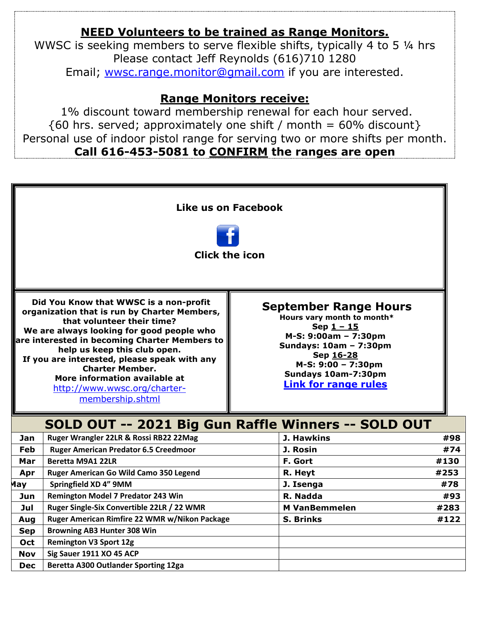### **NEED Volunteers to be trained as Range Monitors.**

WWSC is seeking members to serve flexible shifts, typically 4 to 5 ¼ hrs Please contact Jeff Reynolds (616)710 1280 Email; [wwsc.range.monitor@gmail.com](mailto:wwsc.range.monitor@gmail.com) if you are interested.

#### **Range Monitors receive:**

1% discount toward membership renewal for each hour served.  ${60 \text{ hrs. served}}$ ; approximately one shift / month = 60% discount} Personal use of indoor pistol range for serving two or more shifts per month. **Call 616-453-5081 to CONFIRM the ranges are open**